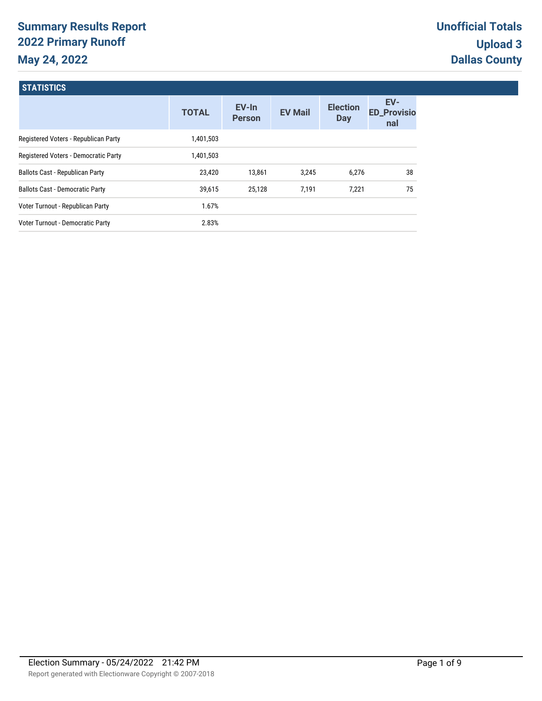# **Summary Results Report 2022 Primary Runoff May 24, 2022**

**STATICTICS** 

| <b>SIAII</b> SHUS                      |              |                        |                |                               |                                  |
|----------------------------------------|--------------|------------------------|----------------|-------------------------------|----------------------------------|
|                                        | <b>TOTAL</b> | EV-In<br><b>Person</b> | <b>EV Mail</b> | <b>Election</b><br><b>Day</b> | EV-<br><b>ED_Provisio</b><br>nal |
| Registered Voters - Republican Party   | 1,401,503    |                        |                |                               |                                  |
| Registered Voters - Democratic Party   | 1,401,503    |                        |                |                               |                                  |
| Ballots Cast - Republican Party        | 23,420       | 13,861                 | 3.245          | 6,276                         | 38                               |
| <b>Ballots Cast - Democratic Party</b> | 39,615       | 25.128                 | 7.191          | 7,221                         | 75                               |
| Voter Turnout - Republican Party       | 1.67%        |                        |                |                               |                                  |
| Voter Turnout - Democratic Party       | 2.83%        |                        |                |                               |                                  |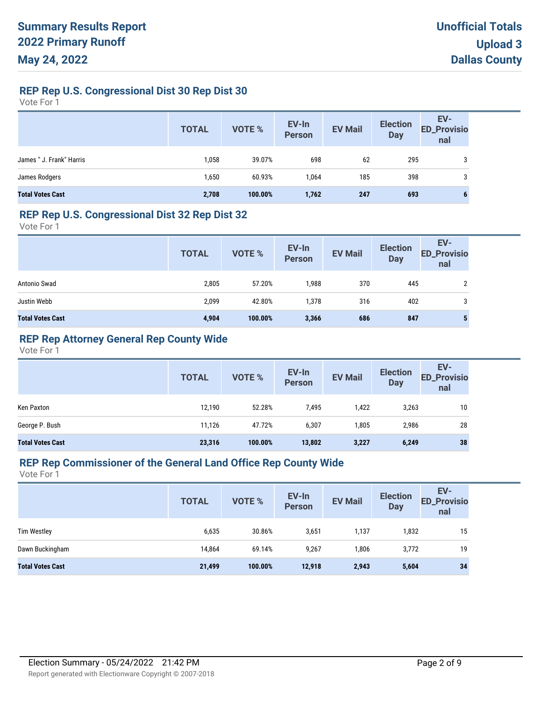### **REP Rep U.S. Congressional Dist 30 Rep Dist 30**

Vote For 1

|                          | <b>TOTAL</b> | <b>VOTE %</b> | EV-In<br>Person | <b>EV Mail</b> | <b>Election</b><br><b>Day</b> | EV-<br>ED_Provisio<br>nal |
|--------------------------|--------------|---------------|-----------------|----------------|-------------------------------|---------------------------|
| James " J. Frank" Harris | 1,058        | 39.07%        | 698             | 62             | 295                           | 3                         |
| James Rodgers            | 1,650        | 60.93%        | 1.064           | 185            | 398                           | 3                         |
| <b>Total Votes Cast</b>  | 2,708        | 100.00%       | 1,762           | 247            | 693                           | O                         |

#### **REP Rep U.S. Congressional Dist 32 Rep Dist 32**

Vote For 1

|                         | <b>TOTAL</b> | <b>VOTE %</b> | EV-In<br>Person | <b>EV Mail</b> | <b>Election</b><br><b>Day</b> | EV-<br><b>ED_Provisio</b><br>nal |
|-------------------------|--------------|---------------|-----------------|----------------|-------------------------------|----------------------------------|
| Antonio Swad            | 2,805        | 57.20%        | 1,988           | 370            | 445                           |                                  |
| Justin Webb             | 2,099        | 42.80%        | 1,378           | 316            | 402                           | 3                                |
| <b>Total Votes Cast</b> | 4,904        | 100.00%       | 3,366           | 686            | 847                           |                                  |

### **REP Rep Attorney General Rep County Wide**

Vote For 1

|                         | <b>TOTAL</b> | VOTE %  | EV-In<br>Person | <b>EV Mail</b> | <b>Election</b><br><b>Day</b> | EV-<br><b>ED_Provisio</b><br>nal |
|-------------------------|--------------|---------|-----------------|----------------|-------------------------------|----------------------------------|
| Ken Paxton              | 12,190       | 52.28%  | 7,495           | 1.422          | 3,263                         | 10                               |
| George P. Bush          | 11,126       | 47.72%  | 6,307           | 1,805          | 2,986                         | 28                               |
| <b>Total Votes Cast</b> | 23,316       | 100.00% | 13,802          | 3,227          | 6,249                         | 38                               |

#### **REP Rep Commissioner of the General Land Office Rep County Wide**

|                         | <b>TOTAL</b> | VOTE %  | EV-In<br>Person | <b>EV Mail</b> | <b>Election</b><br><b>Day</b> | EV-<br><b>ED_Provisio</b><br>nal |
|-------------------------|--------------|---------|-----------------|----------------|-------------------------------|----------------------------------|
| <b>Tim Westley</b>      | 6,635        | 30.86%  | 3,651           | 1,137          | 1,832                         | 15                               |
| Dawn Buckingham         | 14.864       | 69.14%  | 9,267           | 1,806          | 3,772                         | 19                               |
| <b>Total Votes Cast</b> | 21,499       | 100.00% | 12,918          | 2,943          | 5,604                         | 34                               |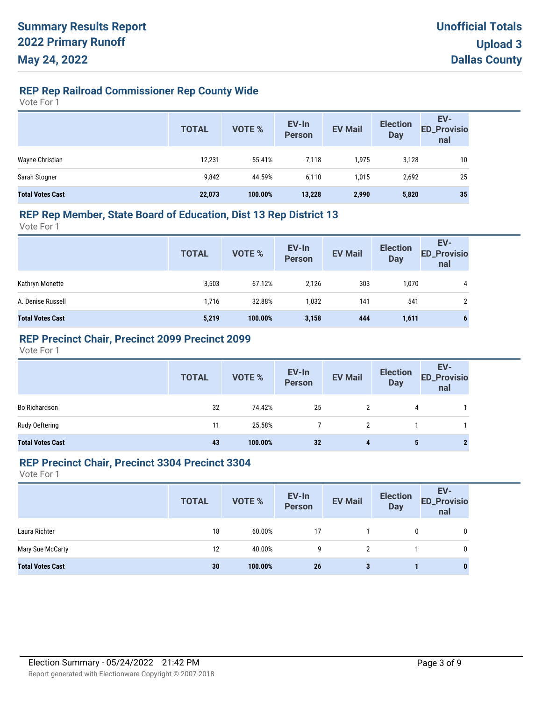## **REP Rep Railroad Commissioner Rep County Wide**

Vote For 1

|                         | <b>TOTAL</b> | VOTE %  | EV-In<br>Person | <b>EV Mail</b> | <b>Election</b><br><b>Day</b> | EV-<br><b>ED_Provisio</b><br>nal |
|-------------------------|--------------|---------|-----------------|----------------|-------------------------------|----------------------------------|
| Wayne Christian         | 12,231       | 55.41%  | 7,118           | 1,975          | 3,128                         | 10                               |
| Sarah Stogner           | 9,842        | 44.59%  | 6,110           | 1,015          | 2,692                         | 25                               |
| <b>Total Votes Cast</b> | 22,073       | 100.00% | 13,228          | 2,990          | 5,820                         | 35                               |

#### **REP Rep Member, State Board of Education, Dist 13 Rep District 13**

Vote For 1

|                         | <b>TOTAL</b> | VOTE %  | EV-In<br>Person | <b>EV Mail</b> | <b>Election</b><br><b>Day</b> | EV-<br><b>ED_Provisio</b><br>nal |
|-------------------------|--------------|---------|-----------------|----------------|-------------------------------|----------------------------------|
| Kathryn Monette         | 3,503        | 67.12%  | 2.126           | 303            | 1,070                         | 4                                |
| A. Denise Russell       | 1,716        | 32.88%  | 1,032           | 141            | 541                           | 2                                |
| <b>Total Votes Cast</b> | 5,219        | 100.00% | 3,158           | 444            | 1,611                         | 6                                |

### **REP Precinct Chair, Precinct 2099 Precinct 2099**

Vote For 1

|                         | <b>TOTAL</b> | VOTE %  | EV-In<br>Person | <b>EV Mail</b> | <b>Election</b><br>Day | EV-<br>ED_Provisio<br>nal |
|-------------------------|--------------|---------|-----------------|----------------|------------------------|---------------------------|
| <b>Bo Richardson</b>    | 32           | 74.42%  | 25              |                | 4                      |                           |
| Rudy Oeftering          | 11           | 25.58%  |                 |                |                        |                           |
| <b>Total Votes Cast</b> | 43           | 100.00% | 32              | 4              |                        |                           |

#### **REP Precinct Chair, Precinct 3304 Precinct 3304**

|                         | <b>TOTAL</b> | <b>VOTE %</b> | EV-In<br>Person | <b>EV Mail</b> | <b>Election</b><br><b>Day</b> | EV-<br><b>ED_Provisio</b><br>nal |
|-------------------------|--------------|---------------|-----------------|----------------|-------------------------------|----------------------------------|
| Laura Richter           | 18           | 60.00%        | 17              |                | 0                             | 0                                |
| Mary Sue McCarty        | 12           | 40.00%        | 9               | 2              |                               | 0                                |
| <b>Total Votes Cast</b> | 30           | 100.00%       | 26              | 3              |                               | 0                                |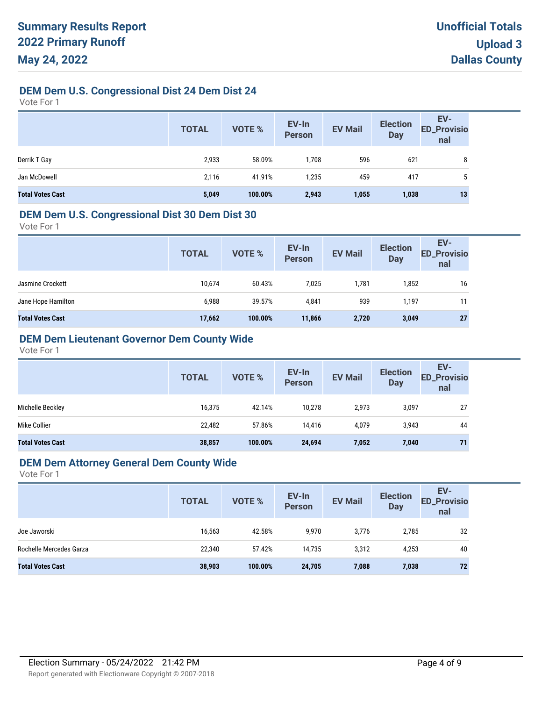### **DEM Dem U.S. Congressional Dist 24 Dem Dist 24**

Vote For 1

|                         | <b>TOTAL</b> | <b>VOTE %</b> | EV-In<br>Person | <b>EV Mail</b> | <b>Election</b><br><b>Day</b> | EV-<br>ED_Provisio<br>nal |
|-------------------------|--------------|---------------|-----------------|----------------|-------------------------------|---------------------------|
| Derrik T Gay            | 2,933        | 58.09%        | 1,708           | 596            | 621                           | 8                         |
| Jan McDowell            | 2,116        | 41.91%        | 1,235           | 459            | 417                           | 5                         |
| <b>Total Votes Cast</b> | 5,049        | 100.00%       | 2,943           | 1,055          | 1,038                         | 13                        |

#### **DEM Dem U.S. Congressional Dist 30 Dem Dist 30**

Vote For 1

|                         | <b>TOTAL</b> | VOTE %  | EV-In<br><b>Person</b> | <b>EV Mail</b> | <b>Election</b><br><b>Day</b> | <b>ED_Provisio</b><br>nal |
|-------------------------|--------------|---------|------------------------|----------------|-------------------------------|---------------------------|
| Jasmine Crockett        | 10,674       | 60.43%  | 7,025                  | 1,781          | 1,852                         | 16                        |
| Jane Hope Hamilton      | 6,988        | 39.57%  | 4,841                  | 939            | 1,197                         | 11                        |
| <b>Total Votes Cast</b> | 17,662       | 100.00% | 11,866                 | 2,720          | 3,049                         | 27                        |

### **DEM Dem Lieutenant Governor Dem County Wide**

Vote For 1

|                         | <b>TOTAL</b> | VOTE %  | EV-In<br><b>Person</b> | <b>EV Mail</b> | <b>Election</b><br><b>Day</b> | EV-<br><b>ED_Provisio</b><br>nal |
|-------------------------|--------------|---------|------------------------|----------------|-------------------------------|----------------------------------|
| Michelle Beckley        | 16,375       | 42.14%  | 10.278                 | 2,973          | 3,097                         | 27                               |
| Mike Collier            | 22,482       | 57.86%  | 14.416                 | 4,079          | 3,943                         | 44                               |
| <b>Total Votes Cast</b> | 38,857       | 100.00% | 24,694                 | 7,052          | 7,040                         | 71                               |

#### **DEM Dem Attorney General Dem County Wide**

|                         | <b>TOTAL</b> | VOTE %  | EV-In<br>Person | <b>EV Mail</b> | <b>Election</b><br><b>Day</b> | EV-<br><b>ED_Provisio</b><br>nal |
|-------------------------|--------------|---------|-----------------|----------------|-------------------------------|----------------------------------|
| Joe Jaworski            | 16,563       | 42.58%  | 9,970           | 3,776          | 2,785                         | 32                               |
| Rochelle Mercedes Garza | 22.340       | 57.42%  | 14.735          | 3,312          | 4,253                         | 40                               |
| <b>Total Votes Cast</b> | 38,903       | 100.00% | 24,705          | 7,088          | 7,038                         | 72                               |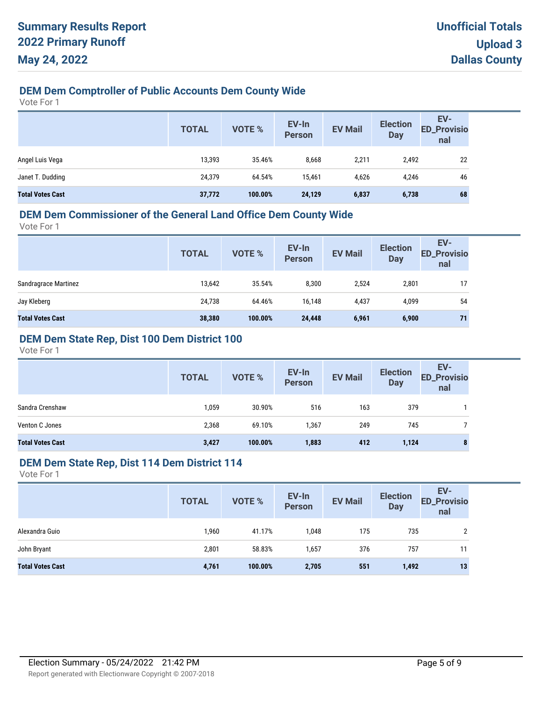### **DEM Dem Comptroller of Public Accounts Dem County Wide**

Vote For 1

|                         | <b>TOTAL</b> | VOTE %  | EV-In<br>Person | <b>EV Mail</b> | <b>Election</b><br><b>Day</b> | EV-<br><b>ED_Provisio</b><br>nal |
|-------------------------|--------------|---------|-----------------|----------------|-------------------------------|----------------------------------|
| Angel Luis Vega         | 13,393       | 35.46%  | 8,668           | 2,211          | 2,492                         | 22                               |
| Janet T. Dudding        | 24,379       | 64.54%  | 15.461          | 4,626          | 4,246                         | 46                               |
| <b>Total Votes Cast</b> | 37,772       | 100.00% | 24,129          | 6,837          | 6,738                         | 68                               |

#### **DEM Dem Commissioner of the General Land Office Dem County Wide**

Vote For 1

| <b>TOTAL</b> | <b>VOTE %</b> | EV-In<br><b>Person</b> | <b>EV Mail</b> | <b>Election</b><br><b>Day</b> | EV-<br><b>ED_Provisio</b><br>nal |
|--------------|---------------|------------------------|----------------|-------------------------------|----------------------------------|
| 13,642       | 35.54%        | 8,300                  | 2,524          | 2,801                         | 17                               |
| 24,738       | 64.46%        | 16,148                 | 4,437          | 4,099                         | 54                               |
| 38,380       | 100.00%       | 24,448                 | 6,961          | 6,900                         | 71                               |
|              |               |                        |                |                               |                                  |

### **DEM Dem State Rep, Dist 100 Dem District 100**

Vote For 1

|                         | <b>TOTAL</b> | <b>VOTE %</b> | EV-In<br><b>Person</b> | <b>EV Mail</b> | <b>Election</b><br><b>Day</b> | EV-<br><b>ED_Provisio</b><br>nal |
|-------------------------|--------------|---------------|------------------------|----------------|-------------------------------|----------------------------------|
| Sandra Crenshaw         | 1,059        | 30.90%        | 516                    | 163            | 379                           |                                  |
| Venton C Jones          | 2,368        | 69.10%        | 1,367                  | 249            | 745                           |                                  |
| <b>Total Votes Cast</b> | 3,427        | 100.00%       | 1,883                  | 412            | 1,124                         | 8                                |

### **DEM Dem State Rep, Dist 114 Dem District 114**

| <b>TOTAL</b> | VOTE %  | EV-In<br>Person | <b>EV Mail</b> | <b>Election</b><br><b>Day</b> | EV-<br><b>ED_Provisio</b><br>nal |
|--------------|---------|-----------------|----------------|-------------------------------|----------------------------------|
| 1,960        | 41.17%  | 1,048           | 175            | 735                           | ົ                                |
| 2,801        | 58.83%  | 1,657           | 376            | 757                           | 11                               |
| 4,761        | 100.00% | 2,705           | 551            | 1,492                         | 13                               |
|              |         |                 |                |                               |                                  |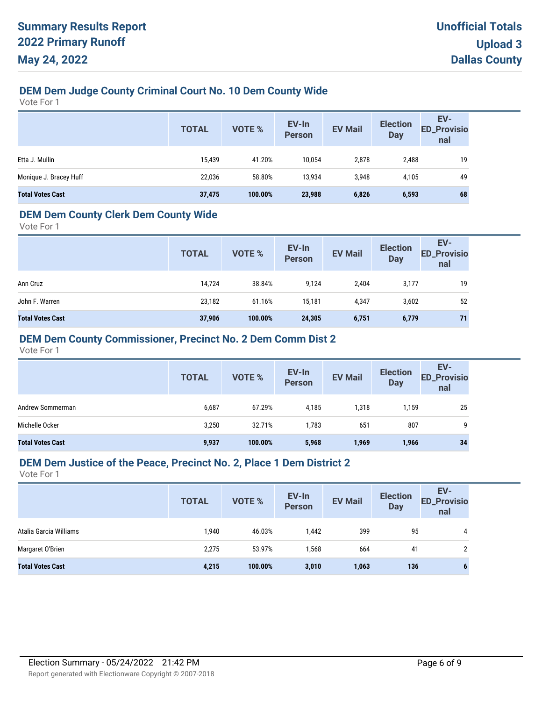### **DEM Dem Judge County Criminal Court No. 10 Dem County Wide**

Vote For 1

|                         | <b>TOTAL</b> | VOTE %  | EV-In<br>Person | <b>EV Mail</b> | <b>Election</b><br><b>Day</b> | EV-<br>ED_Provisio<br>nal |
|-------------------------|--------------|---------|-----------------|----------------|-------------------------------|---------------------------|
| Etta J. Mullin          | 15,439       | 41.20%  | 10,054          | 2,878          | 2,488                         | 19                        |
| Monique J. Bracey Huff  | 22,036       | 58.80%  | 13,934          | 3,948          | 4,105                         | 49                        |
| <b>Total Votes Cast</b> | 37,475       | 100.00% | 23,988          | 6,826          | 6,593                         | 68                        |

### **DEM Dem County Clerk Dem County Wide**

Vote For 1

|                         | <b>TOTAL</b> | <b>VOTE %</b> | EV-In<br><b>Person</b> | <b>EV Mail</b> | <b>Election</b><br><b>Day</b> | EV-<br><b>ED_Provisio</b><br>nal |
|-------------------------|--------------|---------------|------------------------|----------------|-------------------------------|----------------------------------|
| Ann Cruz                | 14,724       | 38.84%        | 9,124                  | 2,404          | 3,177                         | 19                               |
| John F. Warren          | 23,182       | 61.16%        | 15,181                 | 4,347          | 3,602                         | 52                               |
| <b>Total Votes Cast</b> | 37,906       | 100.00%       | 24,305                 | 6,751          | 6,779                         | 71                               |

#### **DEM Dem County Commissioner, Precinct No. 2 Dem Comm Dist 2**

Vote For 1

|                         | <b>TOTAL</b> | <b>VOTE %</b> | EV-In<br><b>Person</b> | <b>EV Mail</b> | <b>Election</b><br><b>Day</b> | EV-<br><b>ED_Provisio</b><br>nal |
|-------------------------|--------------|---------------|------------------------|----------------|-------------------------------|----------------------------------|
| Andrew Sommerman        | 6,687        | 67.29%        | 4,185                  | 1,318          | 1,159                         | 25                               |
| Michelle Ocker          | 3,250        | 32.71%        | 1,783                  | 651            | 807                           | 9                                |
| <b>Total Votes Cast</b> | 9,937        | 100.00%       | 5,968                  | 1,969          | 1,966                         | 34                               |

#### **DEM Dem Justice of the Peace, Precinct No. 2, Place 1 Dem District 2**

|                         | <b>TOTAL</b> | VOTE %  | EV-In<br>Person | <b>EV Mail</b> | <b>Election</b><br><b>Day</b> | EV-<br><b>ED_Provisio</b><br>nal |
|-------------------------|--------------|---------|-----------------|----------------|-------------------------------|----------------------------------|
| Atalia Garcia Williams  | 1,940        | 46.03%  | 1,442           | 399            | 95                            | 4                                |
| Margaret O'Brien        | 2,275        | 53.97%  | 1,568           | 664            | 41                            | 2                                |
| <b>Total Votes Cast</b> | 4,215        | 100.00% | 3,010           | 1,063          | 136                           | o                                |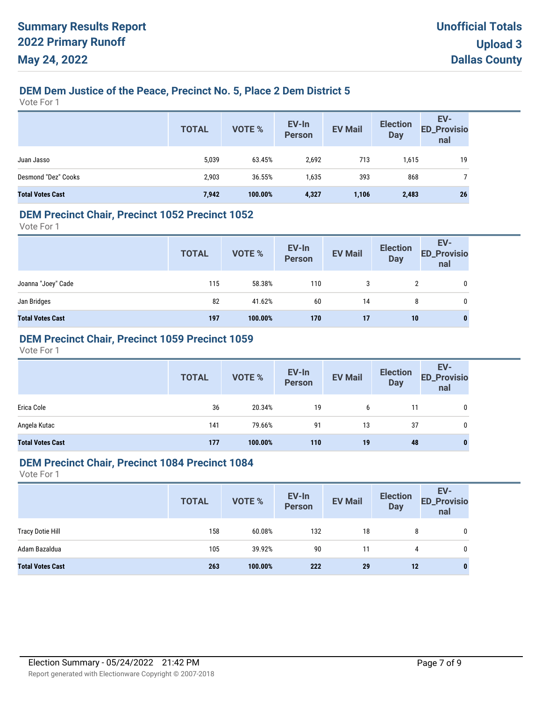### **DEM Dem Justice of the Peace, Precinct No. 5, Place 2 Dem District 5**

Vote For 1

|                         | <b>TOTAL</b> | <b>VOTE %</b> | EV-In<br>Person | <b>EV Mail</b> | <b>Election</b><br><b>Day</b> | EV-<br>ED_Provisio<br>nal |
|-------------------------|--------------|---------------|-----------------|----------------|-------------------------------|---------------------------|
| Juan Jasso              | 5,039        | 63.45%        | 2,692           | 713            | 1,615                         | 19                        |
| Desmond "Dez" Cooks     | 2,903        | 36.55%        | 1,635           | 393            | 868                           |                           |
| <b>Total Votes Cast</b> | 7,942        | 100.00%       | 4,327           | 1,106          | 2,483                         | 26                        |

#### **DEM Precinct Chair, Precinct 1052 Precinct 1052**

Vote For 1

|                         | <b>TOTAL</b> | VOTE %  | EV-In<br>Person | <b>EV Mail</b> | <b>Election</b><br><b>Day</b> | EV-<br>ED_Provisio<br>nal |
|-------------------------|--------------|---------|-----------------|----------------|-------------------------------|---------------------------|
| Joanna "Joey" Cade      | 115          | 58.38%  | 110             | 3              |                               | $\mathbf 0$               |
| Jan Bridges             | 82           | 41.62%  | 60              | 14             | 8                             | 0                         |
| <b>Total Votes Cast</b> | 197          | 100.00% | 170             | 17             | 10                            | 0                         |

### **DEM Precinct Chair, Precinct 1059 Precinct 1059**

Vote For 1

|                         | <b>TOTAL</b> | VOTE %  | EV-In<br>Person | <b>EV Mail</b> | <b>Election</b><br><b>Day</b> | EV-<br>ED_Provisio<br>nal |
|-------------------------|--------------|---------|-----------------|----------------|-------------------------------|---------------------------|
| Erica Cole              | 36           | 20.34%  | 19              | 6              | 11                            | 0                         |
| Angela Kutac            | 141          | 79.66%  | 91              | 13             | 37                            | 0                         |
| <b>Total Votes Cast</b> | 177          | 100.00% | 110             | 19             | 48                            | 0                         |

#### **DEM Precinct Chair, Precinct 1084 Precinct 1084**

|                         | <b>TOTAL</b> | <b>VOTE %</b> | EV-In<br>Person | <b>EV Mail</b> | <b>Election</b><br>Day | EV-<br><b>ED_Provisio</b><br>nal |
|-------------------------|--------------|---------------|-----------------|----------------|------------------------|----------------------------------|
| <b>Tracy Dotie Hill</b> | 158          | 60.08%        | 132             | 18             | 8                      | 0                                |
| Adam Bazaldua           | 105          | 39.92%        | 90              | 11             | 4                      | 0                                |
| <b>Total Votes Cast</b> | 263          | 100.00%       | 222             | 29             | 12                     | 0                                |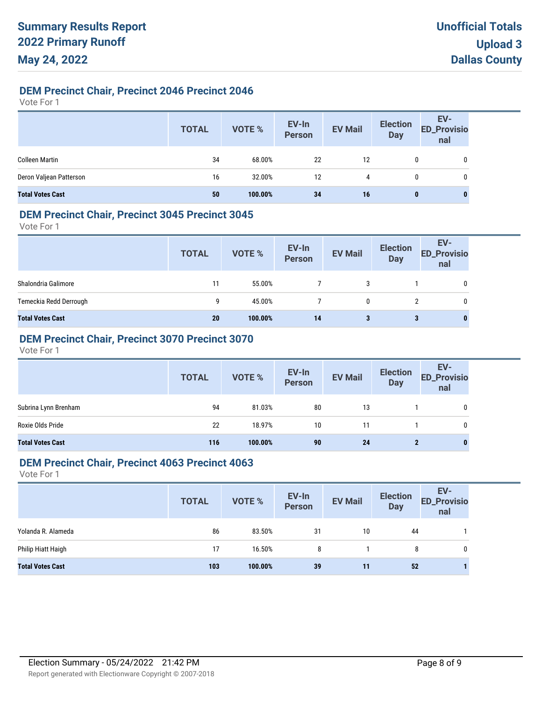### **DEM Precinct Chair, Precinct 2046 Precinct 2046**

Vote For 1

|                         | <b>TOTAL</b> | VOTE %  | EV-In<br>Person | <b>EV Mail</b> | <b>Election</b><br>Day | EV-<br>ED_Provisio<br>nal |
|-------------------------|--------------|---------|-----------------|----------------|------------------------|---------------------------|
| <b>Colleen Martin</b>   | 34           | 68.00%  | 22              | 12             |                        | 0                         |
| Deron Valjean Patterson | 16           | 32.00%  | 12              | 4              |                        | 0                         |
| <b>Total Votes Cast</b> | 50           | 100.00% | 34              | 16             | 0                      | $\bf{0}$                  |

#### **DEM Precinct Chair, Precinct 3045 Precinct 3045**

Vote For 1

|                         | <b>TOTAL</b> | VOTE %  | EV-In<br>Person | <b>EV Mail</b> | <b>Election</b><br><b>Day</b> | EV-<br><b>ED_Provisio</b><br>nal |
|-------------------------|--------------|---------|-----------------|----------------|-------------------------------|----------------------------------|
| Shalondria Galimore     | 11           | 55.00%  |                 | 3              |                               | 0                                |
| Temeckia Redd Derrough  | 9            | 45.00%  |                 | 0              |                               | 0                                |
| <b>Total Votes Cast</b> | 20           | 100.00% | 14              | 3              | 3                             | 0                                |

### **DEM Precinct Chair, Precinct 3070 Precinct 3070**

Vote For 1

|                         | <b>TOTAL</b> | VOTE %  | EV-In<br>Person | <b>EV Mail</b> | <b>Election</b><br><b>Day</b> | EV-<br>ED_Provisio<br>nal |
|-------------------------|--------------|---------|-----------------|----------------|-------------------------------|---------------------------|
| Subrina Lynn Brenham    | 94           | 81.03%  | 80              | 13             |                               | 0                         |
| Roxie Olds Pride        | 22           | 18.97%  | 10              | 11             |                               | 0                         |
| <b>Total Votes Cast</b> | 116          | 100.00% | 90              | 24             | 2                             | $\bf{0}$                  |

#### **DEM Precinct Chair, Precinct 4063 Precinct 4063**

|                         | <b>TOTAL</b> | <b>VOTE %</b> | EV-In<br>Person | <b>EV Mail</b> | <b>Election</b><br><b>Day</b> | EV-<br><b>ED_Provisio</b><br>nal |
|-------------------------|--------------|---------------|-----------------|----------------|-------------------------------|----------------------------------|
| Yolanda R. Alameda      | 86           | 83.50%        | 31              | 10             | 44                            |                                  |
| Philip Hiatt Haigh      | 17           | 16.50%        | 8               |                | 8                             | 0                                |
| <b>Total Votes Cast</b> | 103          | 100.00%       | 39              | 11             | 52                            |                                  |